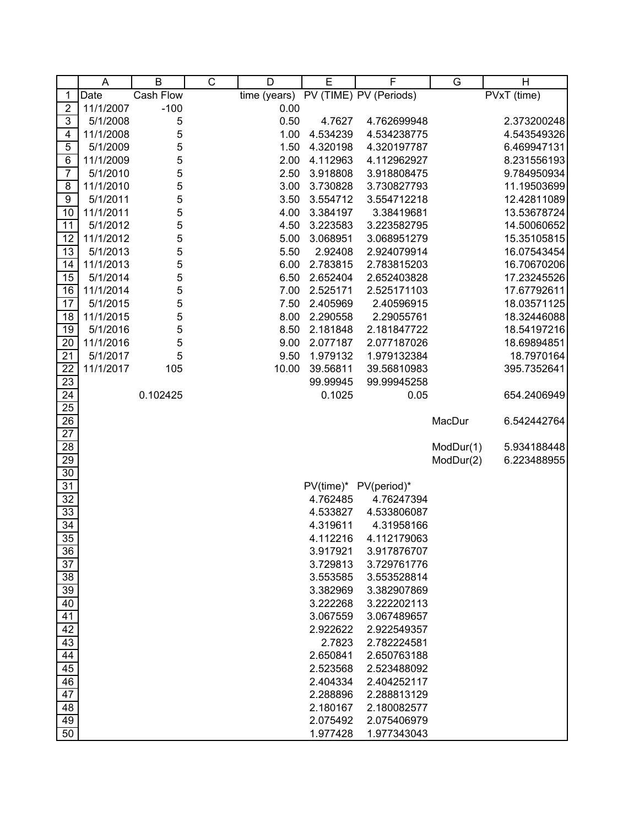|                 | A         | $\sf B$   | C | D            | E        | F                      | G         | Η           |
|-----------------|-----------|-----------|---|--------------|----------|------------------------|-----------|-------------|
| 1               | Date      | Cash Flow |   | time (years) |          | PV (TIME) PV (Periods) |           | PVxT (time) |
| $\overline{c}$  | 11/1/2007 | $-100$    |   | 0.00         |          |                        |           |             |
| 3               | 5/1/2008  | 5         |   | 0.50         | 4.7627   | 4.762699948            |           | 2.373200248 |
| 4               | 11/1/2008 | 5         |   | 1.00         | 4.534239 | 4.534238775            |           | 4.543549326 |
| 5               | 5/1/2009  | 5         |   | 1.50         | 4.320198 | 4.320197787            |           | 6.469947131 |
| 6               | 11/1/2009 | 5         |   | 2.00         | 4.112963 | 4.112962927            |           | 8.231556193 |
| $\overline{7}$  | 5/1/2010  | 5         |   | 2.50         | 3.918808 | 3.918808475            |           | 9.784950934 |
| 8               | 11/1/2010 | 5         |   | 3.00         | 3.730828 | 3.730827793            |           | 11.19503699 |
| 9               | 5/1/2011  | 5         |   | 3.50         | 3.554712 | 3.554712218            |           | 12.42811089 |
| 10              | 11/1/2011 | 5         |   | 4.00         | 3.384197 | 3.38419681             |           | 13.53678724 |
| 11              | 5/1/2012  | 5         |   | 4.50         | 3.223583 | 3.223582795            |           | 14.50060652 |
| 12              | 11/1/2012 | 5         |   | 5.00         | 3.068951 | 3.068951279            |           | 15.35105815 |
| 13              | 5/1/2013  | 5         |   | 5.50         | 2.92408  | 2.924079914            |           | 16.07543454 |
| 14              | 11/1/2013 | 5         |   | 6.00         | 2.783815 | 2.783815203            |           | 16.70670206 |
| 15              | 5/1/2014  | 5         |   | 6.50         | 2.652404 | 2.652403828            |           | 17.23245526 |
| 16              | 11/1/2014 | 5         |   | 7.00         | 2.525171 | 2.525171103            |           | 17.67792611 |
| 17              | 5/1/2015  | 5         |   | 7.50         | 2.405969 | 2.40596915             |           | 18.03571125 |
| 18              | 11/1/2015 | 5         |   | 8.00         | 2.290558 | 2.29055761             |           | 18.32446088 |
| 19              | 5/1/2016  | 5         |   | 8.50         | 2.181848 | 2.181847722            |           | 18.54197216 |
| 20              | 11/1/2016 | 5         |   | 9.00         | 2.077187 | 2.077187026            |           | 18.69894851 |
| 21              | 5/1/2017  | 5         |   | 9.50         | 1.979132 | 1.979132384            |           | 18.7970164  |
| 22              | 11/1/2017 | 105       |   | 10.00        | 39.56811 | 39.56810983            |           | 395.7352641 |
| $\overline{23}$ |           |           |   |              | 99.99945 | 99.99945258            |           |             |
| 24              |           | 0.102425  |   |              | 0.1025   | 0.05                   |           | 654.2406949 |
| $\overline{25}$ |           |           |   |              |          |                        |           |             |
| $\overline{26}$ |           |           |   |              |          |                        | MacDur    | 6.542442764 |
| $\overline{27}$ |           |           |   |              |          |                        |           |             |
| 28              |           |           |   |              |          |                        | ModDur(1) | 5.934188448 |
| 29              |           |           |   |              |          |                        | ModDur(2) | 6.223488955 |
| $30\,$          |           |           |   |              |          |                        |           |             |
| 31              |           |           |   |              |          | PV(time)* PV(period)*  |           |             |
| 32              |           |           |   |              | 4.762485 | 4.76247394             |           |             |
| 33              |           |           |   |              | 4.533827 | 4.533806087            |           |             |
| 34              |           |           |   |              | 4.319611 | 4.31958166             |           |             |
| $\overline{35}$ |           |           |   |              | 4.112216 | 4.112179063            |           |             |
| 36              |           |           |   |              | 3.917921 | 3.917876707            |           |             |
| 37              |           |           |   |              | 3.729813 | 3.729761776            |           |             |
| 38              |           |           |   |              | 3.553585 | 3.553528814            |           |             |
| 39              |           |           |   |              | 3.382969 | 3.382907869            |           |             |
| 40              |           |           |   |              | 3.222268 | 3.222202113            |           |             |
| 41              |           |           |   |              | 3.067559 | 3.067489657            |           |             |
| 42              |           |           |   |              | 2.922622 | 2.922549357            |           |             |
| 43              |           |           |   |              | 2.7823   | 2.782224581            |           |             |
| 44              |           |           |   |              | 2.650841 | 2.650763188            |           |             |
| 45              |           |           |   |              | 2.523568 | 2.523488092            |           |             |
| 46              |           |           |   |              | 2.404334 | 2.404252117            |           |             |
| 47              |           |           |   |              | 2.288896 | 2.288813129            |           |             |
| 48              |           |           |   |              | 2.180167 | 2.180082577            |           |             |
| 49              |           |           |   |              | 2.075492 | 2.075406979            |           |             |
| 50              |           |           |   |              | 1.977428 | 1.977343043            |           |             |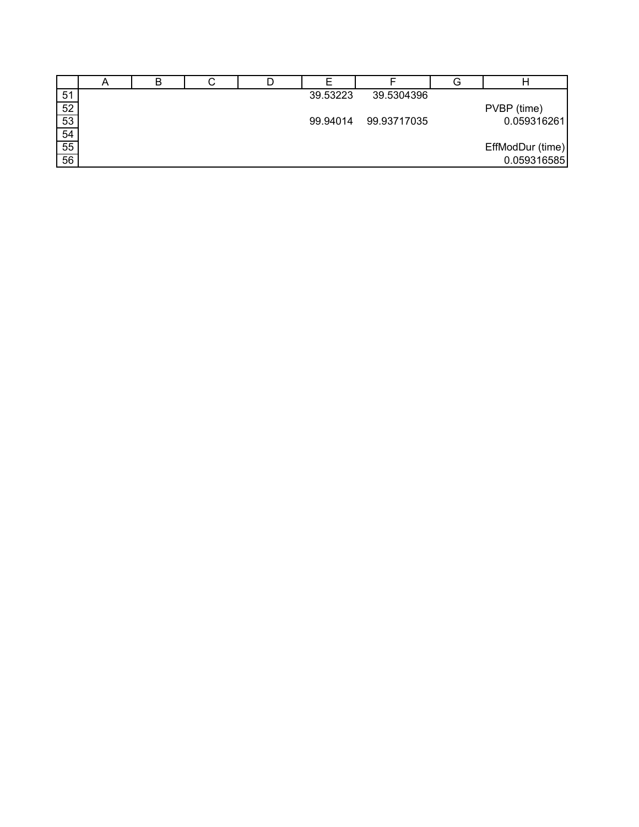|                 | n | ັ |          |             | G |                  |
|-----------------|---|---|----------|-------------|---|------------------|
| 51              |   |   | 39.53223 | 39.5304396  |   |                  |
| 52              |   |   |          |             |   | PVBP (time)      |
| 53              |   |   | 99.94014 | 99.93717035 |   | 0.059316261      |
| 54              |   |   |          |             |   |                  |
| 55              |   |   |          |             |   | EffModDur (time) |
| $\overline{56}$ |   |   |          |             |   | 0.059316585      |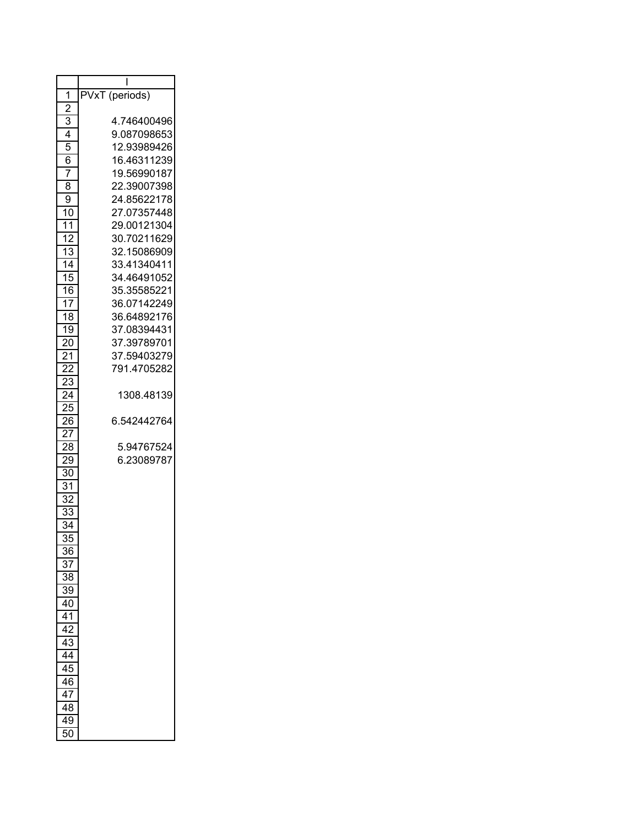|                       | ı              |
|-----------------------|----------------|
| 1                     | PVxT (periods) |
| $\overline{2}$        |                |
| 3                     | 4.746400496    |
| 4                     | 9.087098653    |
| 5                     | 12.93989426    |
| 6                     | 16.46311239    |
| 7                     | 19.56990187    |
| 8                     | 22.39007398    |
| 9                     | 24.85622178    |
| 10                    | 27.07357448    |
| 11                    | 29.00121304    |
| 12                    | 30.70211629    |
| 13                    | 32.15086909    |
| 14                    | 33.41340411    |
| 15                    | 34.46491052    |
| 16                    | 35.35585221    |
| 17                    | 36.07142249    |
| 18                    | 36.64892176    |
| 19                    | 37.08394431    |
| $\overline{20}$       | 37.39789701    |
| $\overline{2}1$       | 37.59403279    |
| 22                    | 791.4705282    |
| 23                    |                |
| $2\overline{4}$       | 1308.48139     |
| 25                    |                |
| 26                    | 6.542442764    |
| 27                    |                |
| 28                    | 5.94767524     |
| 29                    | 6.23089787     |
| 30                    |                |
| $\overline{31}$       |                |
| $\overline{32}$       |                |
| $\overline{33}$       |                |
|                       |                |
| 34<br>35              |                |
|                       |                |
| 36<br>37              |                |
| 38                    |                |
|                       |                |
| 39                    |                |
| 40<br>$\overline{41}$ |                |
| $\overline{42}$       |                |
| $\overline{43}$       |                |
|                       |                |
| 44                    |                |
| 45                    |                |
| 46                    |                |
| 47                    |                |
| 48                    |                |
| 49                    |                |
| 50                    |                |